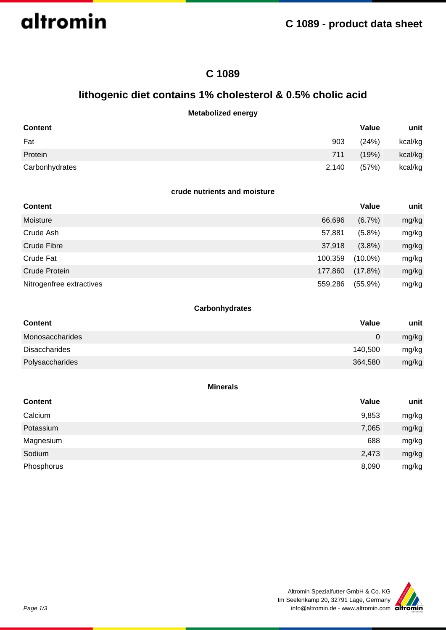altromin

## **C 1089**

## **lithogenic diet contains 1% cholesterol & 0.5% cholic acid**

## **Metabolized energy**

| <b>Content</b> |       | Value | unit    |
|----------------|-------|-------|---------|
| Fat            | 903   | (24%) | kcal/kg |
| Protein        | 711   | (19%) | kcal/kg |
| Carbonhydrates | 2,140 | (57%) | kcal/kg |

#### **crude nutrients and moisture**

| <b>Content</b>           |         | Value      | unit  |
|--------------------------|---------|------------|-------|
| Moisture                 | 66,696  | $(6.7\%)$  | mg/kg |
| Crude Ash                | 57,881  | $(5.8\%)$  | mg/kg |
| Crude Fibre              | 37,918  | $(3.8\%)$  | mg/kg |
| Crude Fat                | 100,359 | $(10.0\%)$ | mg/kg |
| Crude Protein            | 177,860 | $(17.8\%)$ | mg/kg |
| Nitrogenfree extractives | 559,286 | $(55.9\%)$ | mg/kg |

## **Carbonhydrates**

| <b>Content</b>       | Value   | unit  |
|----------------------|---------|-------|
| Monosaccharides      | 0       | mg/kg |
| <b>Disaccharides</b> | 140,500 | mg/kg |
| Polysaccharides      | 364,580 | mg/kg |

#### **Minerals**

| <b>Content</b> | Value | unit  |
|----------------|-------|-------|
| Calcium        | 9,853 | mg/kg |
| Potassium      | 7,065 | mg/kg |
| Magnesium      | 688   | mg/kg |
| Sodium         | 2,473 | mg/kg |
| Phosphorus     | 8,090 | mg/kg |

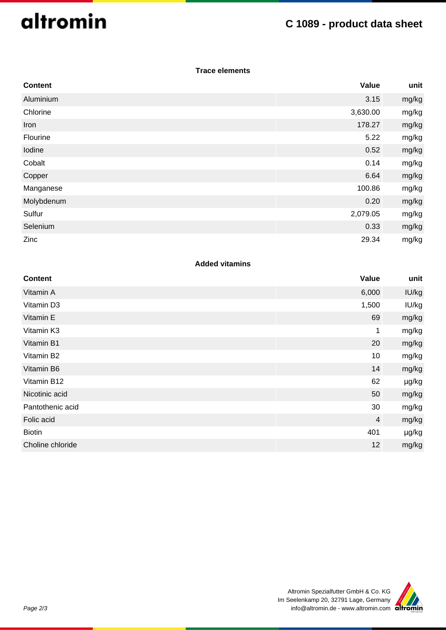# altromin

## **C 1089 - product data sheet**

## **Trace elements**

| <b>Content</b> | Value    | unit  |
|----------------|----------|-------|
| Aluminium      | 3.15     | mg/kg |
| Chlorine       | 3,630.00 | mg/kg |
| Iron           | 178.27   | mg/kg |
| Flourine       | 5.22     | mg/kg |
| Iodine         | 0.52     | mg/kg |
| Cobalt         | 0.14     | mg/kg |
| Copper         | 6.64     | mg/kg |
| Manganese      | 100.86   | mg/kg |
| Molybdenum     | 0.20     | mg/kg |
| Sulfur         | 2,079.05 | mg/kg |
| Selenium       | 0.33     | mg/kg |
| Zinc           | 29.34    | mg/kg |

## **Added vitamins**

| <b>Content</b>   | Value          | unit  |
|------------------|----------------|-------|
| Vitamin A        | 6,000          | IU/kg |
| Vitamin D3       | 1,500          | IU/kg |
| Vitamin E        | 69             | mg/kg |
| Vitamin K3       | 1              | mg/kg |
| Vitamin B1       | 20             | mg/kg |
| Vitamin B2       | 10             | mg/kg |
| Vitamin B6       | 14             | mg/kg |
| Vitamin B12      | 62             | µg/kg |
| Nicotinic acid   | 50             | mg/kg |
| Pantothenic acid | 30             | mg/kg |
| Folic acid       | $\overline{4}$ | mg/kg |
| <b>Biotin</b>    | 401            | µg/kg |
| Choline chloride | 12             | mg/kg |
|                  |                |       |